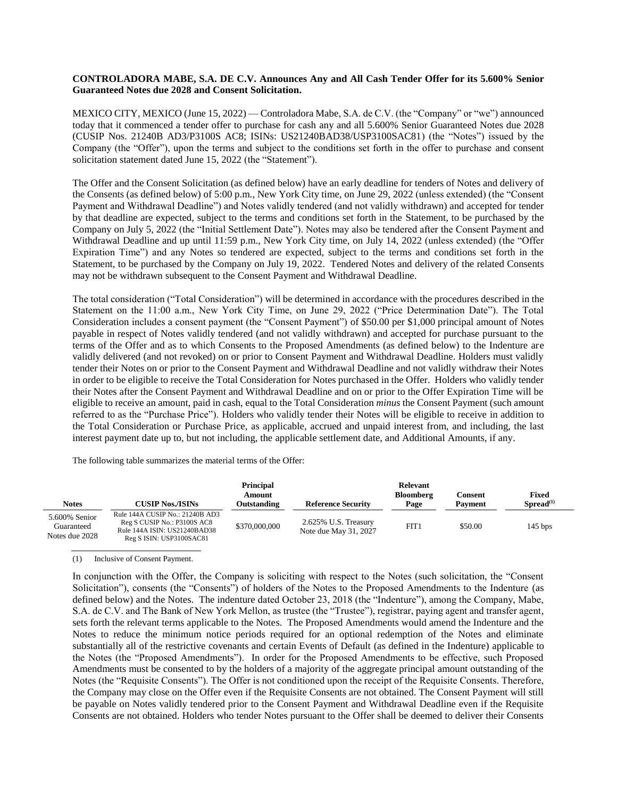## **CONTROLADORA MABE, S.A. DE C.V. Announces Any and All Cash Tender Offer for its 5.600% Senior Guaranteed Notes due 2028 and Consent Solicitation.**

MEXICO CITY, MEXICO (June 15, 2022) — Controladora Mabe, S.A. de C.V. (the "Company" or "we") announced today that it commenced a tender offer to purchase for cash any and all 5.600% Senior Guaranteed Notes due 2028 (CUSIP Nos. 21240B AD3/P3100S AC8; ISINs: US21240BAD38/USP3100SAC81) (the "Notes") issued by the Company (the "Offer"), upon the terms and subject to the conditions set forth in the offer to purchase and consent solicitation statement dated June 15, 2022 (the "Statement").

The Offer and the Consent Solicitation (as defined below) have an early deadline for tenders of Notes and delivery of the Consents (as defined below) of 5:00 p.m., New York City time, on June 29, 2022 (unless extended) (the "Consent Payment and Withdrawal Deadline") and Notes validly tendered (and not validly withdrawn) and accepted for tender by that deadline are expected, subject to the terms and conditions set forth in the Statement, to be purchased by the Company on July 5, 2022 (the "Initial Settlement Date"). Notes may also be tendered after the Consent Payment and Withdrawal Deadline and up until 11:59 p.m., New York City time, on July 14, 2022 (unless extended) (the "Offer Expiration Time") and any Notes so tendered are expected, subject to the terms and conditions set forth in the Statement, to be purchased by the Company on July 19, 2022. Tendered Notes and delivery of the related Consents may not be withdrawn subsequent to the Consent Payment and Withdrawal Deadline.

The total consideration ("Total Consideration") will be determined in accordance with the procedures described in the Statement on the 11:00 a.m., New York City Time, on June 29, 2022 ("Price Determination Date"). The Total Consideration includes a consent payment (the "Consent Payment") of \$50.00 per \$1,000 principal amount of Notes payable in respect of Notes validly tendered (and not validly withdrawn) and accepted for purchase pursuant to the terms of the Offer and as to which Consents to the Proposed Amendments (as defined below) to the Indenture are validly delivered (and not revoked) on or prior to Consent Payment and Withdrawal Deadline. Holders must validly tender their Notes on or prior to the Consent Payment and Withdrawal Deadline and not validly withdraw their Notes in order to be eligible to receive the Total Consideration for Notes purchased in the Offer. Holders who validly tender their Notes after the Consent Payment and Withdrawal Deadline and on or prior to the Offer Expiration Time will be eligible to receive an amount, paid in cash, equal to the Total Consideration *minus* the Consent Payment (such amount referred to as the "Purchase Price"). Holders who validly tender their Notes will be eligible to receive in addition to the Total Consideration or Purchase Price, as applicable, accrued and unpaid interest from, and including, the last interest payment date up to, but not including, the applicable settlement date, and Additional Amounts, if any.

The following table summarizes the material terms of the Offer:

| Notes                                         | <b>CUSIP Nos./ISINs</b>                                                                                                    | <b>Principal</b><br>Amount<br>Outstanding | <b>Reference Security</b>                     | Relevant<br><b>Bloomberg</b><br>Page | Consent<br><b>Payment</b> | <b>Fixed</b><br>$S$ pread $^{(1)}$ |
|-----------------------------------------------|----------------------------------------------------------------------------------------------------------------------------|-------------------------------------------|-----------------------------------------------|--------------------------------------|---------------------------|------------------------------------|
| 5.600% Senior<br>Guaranteed<br>Notes due 2028 | Rule 144A CUSIP No.: 21240B AD3<br>Reg S CUSIP No.: P3100S AC8<br>Rule 144A ISIN: US21240BAD38<br>Reg S ISIN: USP3100SAC81 | \$370,000,000                             | 2.625% U.S. Treasury<br>Note due May 31, 2027 | FIT1                                 | \$50.00                   | $145$ bps                          |

(1) Inclusive of Consent Payment.

In conjunction with the Offer, the Company is soliciting with respect to the Notes (such solicitation, the "Consent Solicitation"), consents (the "Consents") of holders of the Notes to the Proposed Amendments to the Indenture (as defined below) and the Notes. The indenture dated October 23, 2018 (the "Indenture"), among the Company, Mabe, S.A. de C.V. and The Bank of New York Mellon, as trustee (the "Trustee"), registrar, paying agent and transfer agent, sets forth the relevant terms applicable to the Notes. The Proposed Amendments would amend the Indenture and the Notes to reduce the minimum notice periods required for an optional redemption of the Notes and eliminate substantially all of the restrictive covenants and certain Events of Default (as defined in the Indenture) applicable to the Notes (the "Proposed Amendments"). In order for the Proposed Amendments to be effective, such Proposed Amendments must be consented to by the holders of a majority of the aggregate principal amount outstanding of the Notes (the "Requisite Consents"). The Offer is not conditioned upon the receipt of the Requisite Consents. Therefore, the Company may close on the Offer even if the Requisite Consents are not obtained. The Consent Payment will still be payable on Notes validly tendered prior to the Consent Payment and Withdrawal Deadline even if the Requisite Consents are not obtained. Holders who tender Notes pursuant to the Offer shall be deemed to deliver their Consents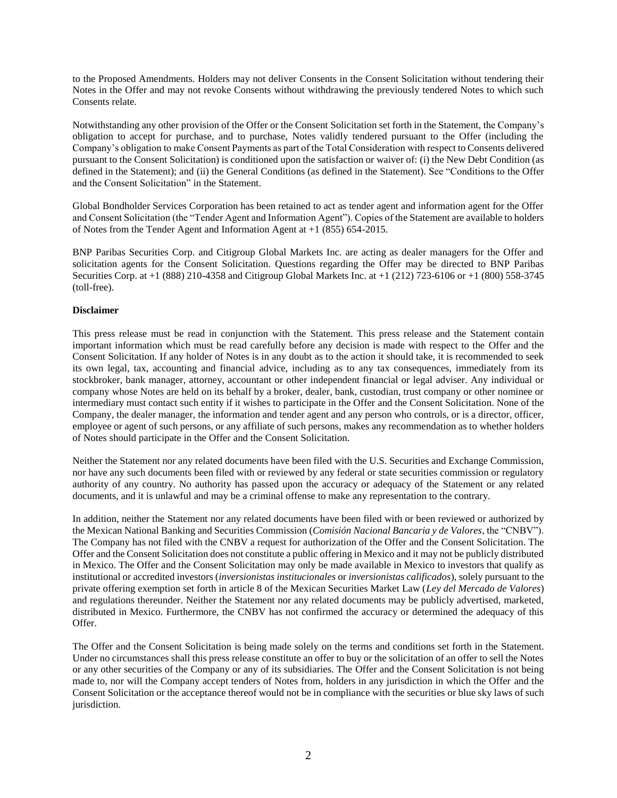to the Proposed Amendments. Holders may not deliver Consents in the Consent Solicitation without tendering their Notes in the Offer and may not revoke Consents without withdrawing the previously tendered Notes to which such Consents relate.

Notwithstanding any other provision of the Offer or the Consent Solicitation set forth in the Statement, the Company's obligation to accept for purchase, and to purchase, Notes validly tendered pursuant to the Offer (including the Company's obligation to make Consent Payments as part of the Total Consideration with respect to Consents delivered pursuant to the Consent Solicitation) is conditioned upon the satisfaction or waiver of: (i) the New Debt Condition (as defined in the Statement); and (ii) the General Conditions (as defined in the Statement). See "Conditions to the Offer and the Consent Solicitation" in the Statement.

Global Bondholder Services Corporation has been retained to act as tender agent and information agent for the Offer and Consent Solicitation (the "Tender Agent and Information Agent"). Copies of the Statement are available to holders of Notes from the Tender Agent and Information Agent at +1 (855) 654-2015.

BNP Paribas Securities Corp. and Citigroup Global Markets Inc. are acting as dealer managers for the Offer and solicitation agents for the Consent Solicitation. Questions regarding the Offer may be directed to BNP Paribas Securities Corp. at +1 (888) 210-4358 and Citigroup Global Markets Inc. at +1 (212) 723-6106 or +1 (800) 558-3745 (toll-free).

## **Disclaimer**

This press release must be read in conjunction with the Statement. This press release and the Statement contain important information which must be read carefully before any decision is made with respect to the Offer and the Consent Solicitation. If any holder of Notes is in any doubt as to the action it should take, it is recommended to seek its own legal, tax, accounting and financial advice, including as to any tax consequences, immediately from its stockbroker, bank manager, attorney, accountant or other independent financial or legal adviser. Any individual or company whose Notes are held on its behalf by a broker, dealer, bank, custodian, trust company or other nominee or intermediary must contact such entity if it wishes to participate in the Offer and the Consent Solicitation. None of the Company, the dealer manager, the information and tender agent and any person who controls, or is a director, officer, employee or agent of such persons, or any affiliate of such persons, makes any recommendation as to whether holders of Notes should participate in the Offer and the Consent Solicitation.

Neither the Statement nor any related documents have been filed with the U.S. Securities and Exchange Commission, nor have any such documents been filed with or reviewed by any federal or state securities commission or regulatory authority of any country. No authority has passed upon the accuracy or adequacy of the Statement or any related documents, and it is unlawful and may be a criminal offense to make any representation to the contrary.

In addition, neither the Statement nor any related documents have been filed with or been reviewed or authorized by the Mexican National Banking and Securities Commission (*Comisión Nacional Bancaria y de Valores*, the "CNBV"). The Company has not filed with the CNBV a request for authorization of the Offer and the Consent Solicitation. The Offer and the Consent Solicitation does not constitute a public offering in Mexico and it may not be publicly distributed in Mexico. The Offer and the Consent Solicitation may only be made available in Mexico to investors that qualify as institutional or accredited investors (*inversionistas institucionales* or *inversionistas calificados*), solely pursuant to the private offering exemption set forth in article 8 of the Mexican Securities Market Law (*Ley del Mercado de Valores*) and regulations thereunder. Neither the Statement nor any related documents may be publicly advertised, marketed, distributed in Mexico. Furthermore, the CNBV has not confirmed the accuracy or determined the adequacy of this Offer.

The Offer and the Consent Solicitation is being made solely on the terms and conditions set forth in the Statement. Under no circumstances shall this press release constitute an offer to buy or the solicitation of an offer to sell the Notes or any other securities of the Company or any of its subsidiaries. The Offer and the Consent Solicitation is not being made to, nor will the Company accept tenders of Notes from, holders in any jurisdiction in which the Offer and the Consent Solicitation or the acceptance thereof would not be in compliance with the securities or blue sky laws of such jurisdiction.